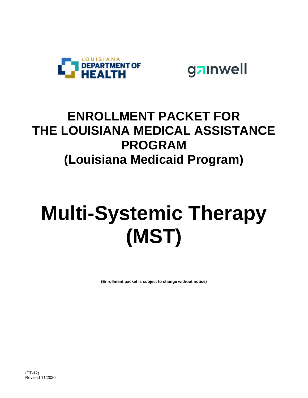



## **ENROLLMENT PACKET FOR THE LOUISIANA MEDICAL ASSISTANCE PROGRAM (Louisiana Medicaid Program)**

## **Multi-Systemic Therapy (MST)**

**(Enrollment packet is subject to change without notice)**